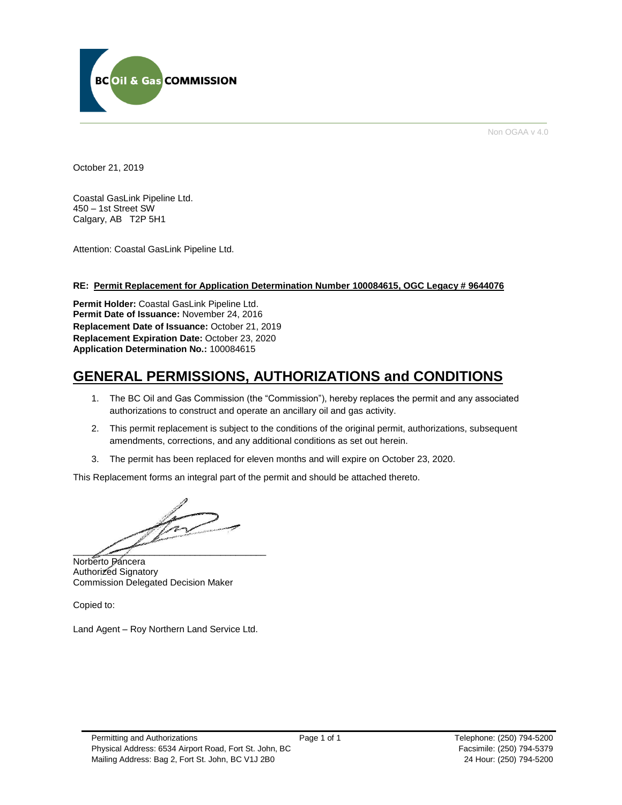

Non OGAA v 4.0

October 21, 2019

Coastal GasLink Pipeline Ltd. 450 – 1st Street SW Calgary, AB T2P 5H1

Attention: Coastal GasLink Pipeline Ltd.

## **RE: Permit Replacement for Application Determination Number 100084615, OGC Legacy # 9644076**

**Permit Holder:** Coastal GasLink Pipeline Ltd. **Permit Date of Issuance:** November 24, 2016 **Replacement Date of Issuance:** October 21, 2019 **Replacement Expiration Date:** October 23, 2020 **Application Determination No.:** 100084615

# **GENERAL PERMISSIONS, AUTHORIZATIONS and CONDITIONS**

- 1. The BC Oil and Gas Commission (the "Commission"), hereby replaces the permit and any associated authorizations to construct and operate an ancillary oil and gas activity.
- 2. This permit replacement is subject to the conditions of the original permit, authorizations, subsequent amendments, corrections, and any additional conditions as set out herein.
- 3. The permit has been replaced for eleven months and will expire on October 23, 2020.

This Replacement forms an integral part of the permit and should be attached thereto.

 $\frac{1}{2}$  and  $\frac{1}{2}$  and  $\frac{1}{2}$  and  $\frac{1}{2}$  and  $\frac{1}{2}$  and  $\frac{1}{2}$  and  $\frac{1}{2}$  and  $\frac{1}{2}$  and  $\frac{1}{2}$  and  $\frac{1}{2}$  and  $\frac{1}{2}$  and  $\frac{1}{2}$  and  $\frac{1}{2}$  and  $\frac{1}{2}$  and  $\frac{1}{2}$  and  $\frac{1}{2}$  a

Norberto Pancera Authorized Signatory Commission Delegated Decision Maker

Copied to:

Land Agent – Roy Northern Land Service Ltd.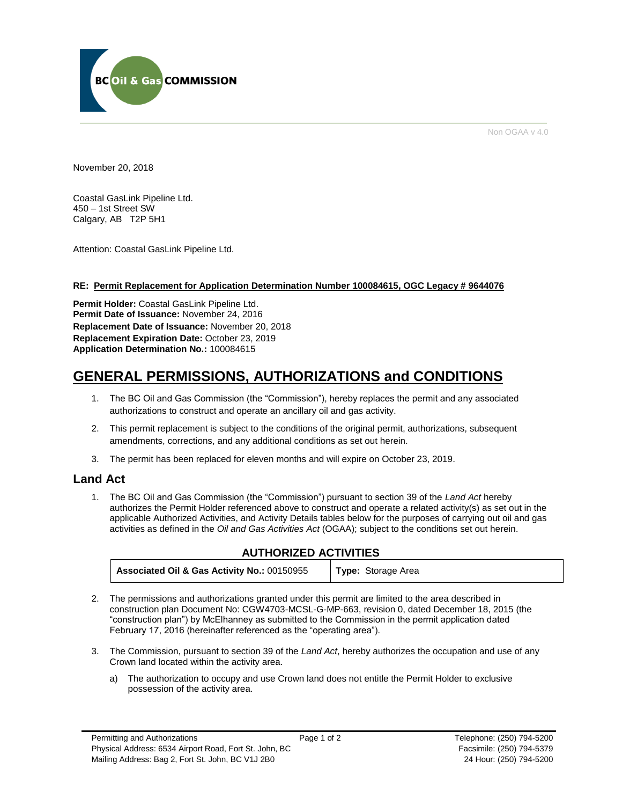

Non OGAA v 4.0

November 20, 2018

Coastal GasLink Pipeline Ltd. 450 – 1st Street SW Calgary, AB T2P 5H1

Attention: Coastal GasLink Pipeline Ltd.

## **RE: Permit Replacement for Application Determination Number 100084615, OGC Legacy # 9644076**

**Permit Holder:** Coastal GasLink Pipeline Ltd. **Permit Date of Issuance:** November 24, 2016 **Replacement Date of Issuance:** November 20, 2018 **Replacement Expiration Date:** October 23, 2019 **Application Determination No.:** 100084615

# **GENERAL PERMISSIONS, AUTHORIZATIONS and CONDITIONS**

- 1. The BC Oil and Gas Commission (the "Commission"), hereby replaces the permit and any associated authorizations to construct and operate an ancillary oil and gas activity.
- 2. This permit replacement is subject to the conditions of the original permit, authorizations, subsequent amendments, corrections, and any additional conditions as set out herein.
- 3. The permit has been replaced for eleven months and will expire on October 23, 2019.

## **Land Act**

1. The BC Oil and Gas Commission (the "Commission") pursuant to section 39 of the *Land Act* hereby authorizes the Permit Holder referenced above to construct and operate a related activity(s) as set out in the applicable Authorized Activities, and Activity Details tables below for the purposes of carrying out oil and gas activities as defined in the *Oil and Gas Activities Act* (OGAA); subject to the conditions set out herein.

## **AUTHORIZED ACTIVITIES**

| Associated Oil & Gas Activity No.: 00150955 | Type: Storage Area |
|---------------------------------------------|--------------------|
|---------------------------------------------|--------------------|

- 2. The permissions and authorizations granted under this permit are limited to the area described in construction plan Document No: CGW4703-MCSL-G-MP-663, revision 0, dated December 18, 2015 (the "construction plan") by McElhanney as submitted to the Commission in the permit application dated February 17, 2016 (hereinafter referenced as the "operating area").
- 3. The Commission, pursuant to section 39 of the *Land Act*, hereby authorizes the occupation and use of any Crown land located within the activity area.
	- a) The authorization to occupy and use Crown land does not entitle the Permit Holder to exclusive possession of the activity area.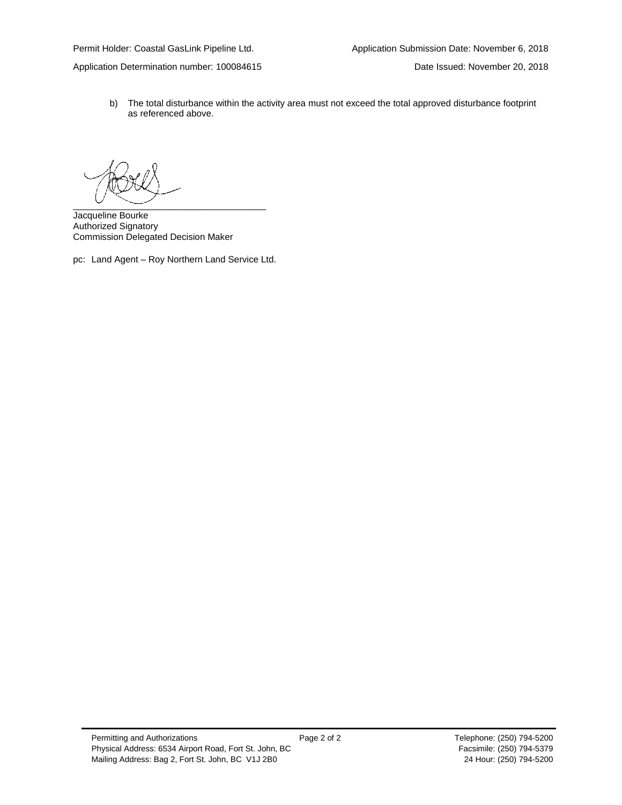Application Determination number: 100084615 Date Issued: November 20, 2018

b) The total disturbance within the activity area must not exceed the total approved disturbance footprint as referenced above.

\_\_\_\_\_\_\_\_\_\_\_\_\_\_\_\_\_\_\_\_\_\_\_\_\_\_\_\_\_\_\_\_\_\_\_\_\_\_

Jacqueline Bourke Authorized Signatory Commission Delegated Decision Maker

pc: Land Agent – Roy Northern Land Service Ltd.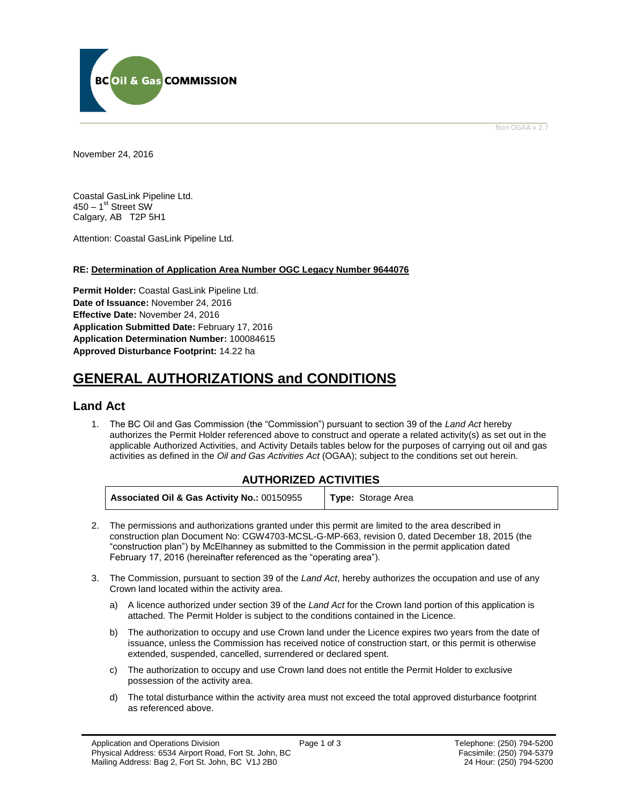

Non OGAA v 2.7

<span id="page-3-0"></span>November 24, 2016

Coastal GasLink Pipeline Ltd. 450 – 1<sup>st</sup> Street SW Calgary, AB T2P 5H1

Attention: Coastal GasLink Pipeline Ltd.

## **RE: Determination of Application Area Number OGC Legacy Number 9644076**

**Permit Holder:** Coastal GasLink Pipeline Ltd. **Date of Issuance:** November 24, 2016 **Effective Date:** November 24, 2016 **Application Submitted Date:** February 17, 2016 **Application Determination Number:** 100084615 **[Approved Disturbance Footprint:](#page-3-0)** 14.22 ha

# **GENERAL AUTHORIZATIONS and CONDITIONS**

## **Land Act**

1. The BC Oil and Gas Commission (the "Commission") pursuant to section 39 of the *Land Act* hereby authorizes the Permit Holder referenced above to construct and operate a related activity(s) as set out in the applicable Authorized Activities, and Activity Details tables below for the purposes of carrying out oil and gas activities as defined in the *Oil and Gas Activities Act* (OGAA); subject to the conditions set out herein.

| Associated Oil & Gas Activity No.: 00150955 | <b>Type:</b> Storage Area |
|---------------------------------------------|---------------------------|
|---------------------------------------------|---------------------------|

- 2. The permissions and authorizations granted under this permit are limited to the area described in construction plan Document No: CGW4703-MCSL-G-MP-663, revision 0, dated December 18, 2015 (the "construction plan") by McElhanney as submitted to the Commission in the permit application dated February 17, 2016 (hereinafter referenced as the "operating area").
- 3. The Commission, pursuant to section 39 of the *Land Act*, hereby [authorizes](#page-3-0) the occupation and use of any Crown land located within the activity area.
	- a) A licence [authorized](#page-3-0) under section 39 of the *Land Act* for the Crown land portion of this application is attached. The Permit Holder is subject to the conditions contained in the Licence.
	- b) The [authorization](#page-3-0) to occupy and use Crown land under the Licence expires two years from the date of issuance, unless the Commission has received notice of construction start, or this permit is otherwise extended, suspended, cancelled, surrendered or declared spent.
	- c) The [authorization](#page-3-0) to occupy and use Crown land does not entitle the Permit Holder to exclusive possession of the activity area.
	- d) The total disturbance within the activity area must not exceed the total approved disturbance footprint as referenced above.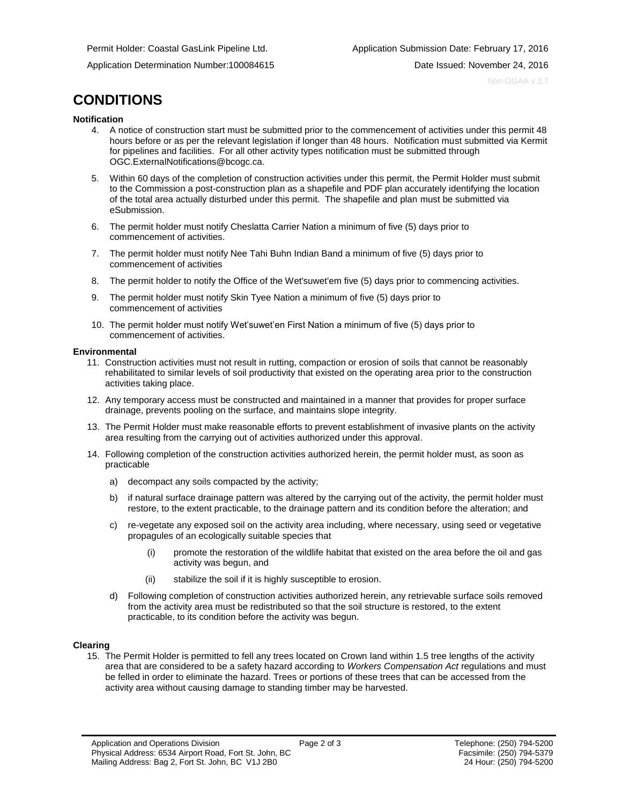Application Determination Number:100084615 Date Issued: November 24, 2016

Non-OGAA v 2.7

# **CONDITIONS**

#### **Notification**

- 4. A notice of construction start must be submitted prior to the commencement of activities under this permit 48 hours before or as per the relevant legislation if longer than 48 hours. Notification must submitted via Kermit for pipelines and facilities. For all other activity types notification must be submitted through [OGC.ExternalNotifications@bcogc.ca.](mailto:OGC.ExternalNotifications@bcogc.ca)
- 5. Within 60 days of the completion of construction activities under this permit, the Permit Holder must submit to the Commission a post-construction plan as a shapefile and PDF plan accurately identifying the location of the total area actually disturbed under this permit. The shapefile and plan must be submitted via eSubmission.
- 6. The permit holder must notify Cheslatta Carrier Nation a minimum of five (5) days prior to commencement of activities.
- 7. The permit holder must notify Nee Tahi Buhn Indian Band a minimum of five (5) days prior to commencement of activities
- 8. The permit holder to notify the Office of the Wet'suwet'em five (5) days prior to commencing activities.
- 9. The permit holder must notify Skin Tyee Nation a minimum of five (5) days prior to commencement of activities
- 10. The permit holder must notify Wet'suwet'en First Nation a minimum of five (5) days prior to commencement of activities.

#### **Environmental**

- 11. Construction activities must not result in rutting, compaction or erosion of soils that cannot be reasonably rehabilitated to similar levels of soil productivity that existed on the operating area prior to the construction activities taking place.
- 12. Any temporary access must be constructed and maintained in a manner that provides for proper surface drainage, prevents pooling on the surface, and maintains slope integrity.
- 13. The Permit Holder must make reasonable efforts to prevent establishment of invasive plants on the activity area resulting from the carrying out of activities authorized under this approval.
- 14. Following completion of the construction activities authorized herein, the permit holder must, as soon as practicable
	- a) decompact any soils compacted by the activity;
	- b) if natural surface drainage pattern was altered by the carrying out of the activity, the permit holder must restore, to the extent practicable, to the drainage pattern and its condition before the alteration; and
	- c) re-vegetate any exposed soil on the activity area including, where necessary, using seed or vegetative propagules of an ecologically suitable species that
		- (i) promote the restoration of the wildlife habitat that existed on the area before the oil and gas activity was begun, and
		- (ii) stabilize the soil if it is highly susceptible to erosion.
	- d) Following completion of construction activities authorized herein, any retrievable surface soils removed from the activity area must be redistributed so that the soil structure is restored, to the extent practicable, to its condition before the activity was begun.

## **Clearing**

15. The Permit Holder is permitted to fell any trees located on Crown land within 1.5 tree lengths of the activity area that are considered to be a safety hazard according to *Workers Compensation Act* regulations and must be felled in order to eliminate the hazard. Trees or portions of these trees that can be accessed from the activity area without causing damage to standing timber may be harvested.